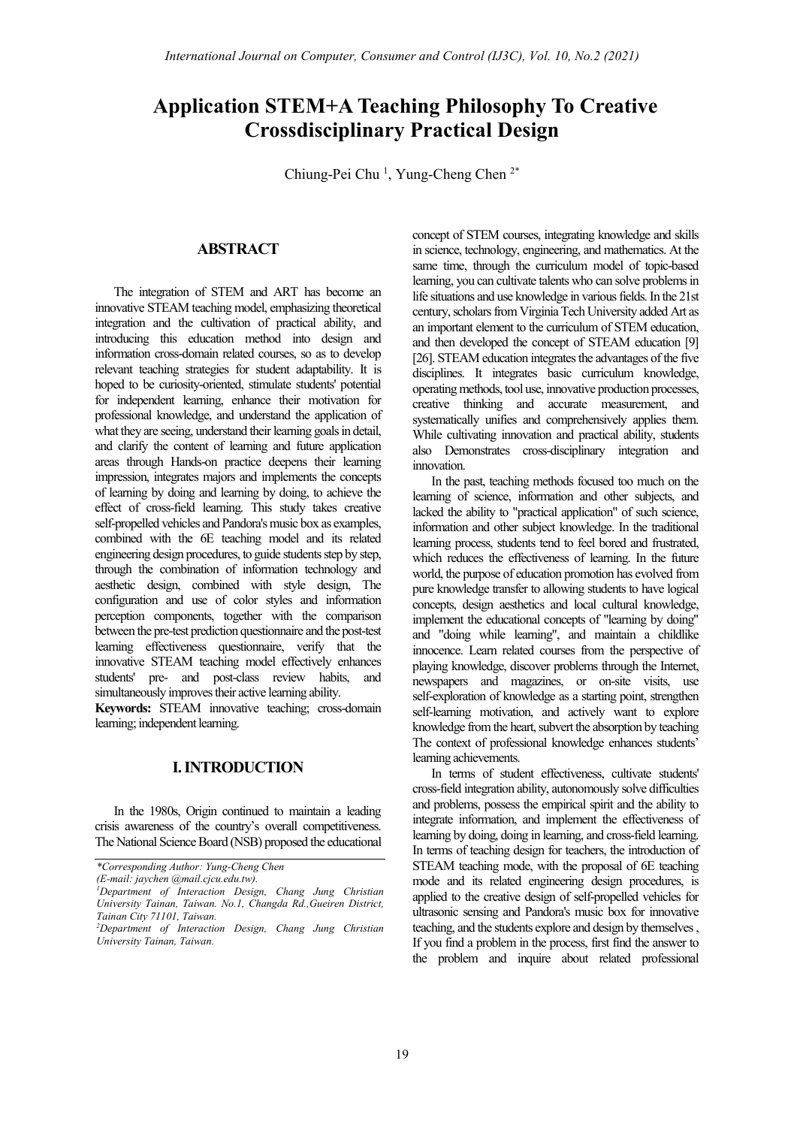# **Application STEM+A Teaching Philosophy To Creative Crossdisciplinary Practical Design**

Chiung-Pei Chu<sup>1</sup>, Yung-Cheng Chen<sup>2\*</sup>

# **ABSTRACT**

The integration of STEM and ART has become an innovative STEAM teaching model, emphasizing theoretical integration and the cultivation of practical ability, and introducing this education method into design and information cross-domain related courses, so as to develop relevant teaching strategies for student adaptability. It is hoped to be curiosity-oriented, stimulate students' potential for independent learning, enhance their motivation for professional knowledge, and understand the application of what they are seeing, understand their learning goals in detail, and clarify the content of learning and future application areas through Hands-on practice deepens their learning impression, integrates majors and implements the concepts of learning by doing and learning by doing, to achieve the effect of cross-field learning. This study takes creative self-propelled vehicles and Pandora's music box as examples, combined with the 6E teaching model and its related engineering design procedures, to guide students step by step, through the combination of information technology and aesthetic design, combined with style design, The configuration and use of color styles and information perception components, together with the comparison between the pre-test prediction questionnaire and the post-test learning effectiveness questionnaire, verify that the innovative STEAM teaching model effectively enhances students' pre- and post-class review habits, and simultaneously improves their active learning ability.

**Keywords:** STEAM innovative teaching; cross-domain learning; independent learning.

# **I. INTRODUCTION**

In the 1980s, Origin continued to maintain a leading crisis awareness of the country's overall competitiveness. The National Science Board (NSB) proposed the educational

*\*Corresponding Author: Yung-Cheng Chen*

concept of STEM courses, integrating knowledge and skills in science, technology, engineering, and mathematics. At the same time, through the curriculum model of topic-based learning, you can cultivate talents who can solve problems in life situations and use knowledge in various fields. In the 21st century, scholars from Virginia Tech University added Art as an important element to the curriculum of STEM education, and then developed the concept of STEAM education [9] [26]. STEAM education integrates the advantages of the five disciplines. It integrates basic curriculum knowledge, operating methods, tool use, innovative production processes, creative thinking and accurate measurement, and systematically unifies and comprehensively applies them. While cultivating innovation and practical ability, students also Demonstrates cross-disciplinary integration and innovation.

In the past, teaching methods focused too much on the learning of science, information and other subjects, and lacked the ability to "practical application" of such science, information and other subject knowledge. In the traditional learning process, students tend to feel bored and frustrated, which reduces the effectiveness of learning. In the future world, the purpose of education promotion has evolved from pure knowledge transfer to allowing students to have logical concepts, design aesthetics and local cultural knowledge, implement the educational concepts of "learning by doing" and "doing while learning", and maintain a childlike innocence. Learn related courses from the perspective of playing knowledge, discover problems through the Internet, newspapers and magazines, or on-site visits, use self-exploration of knowledge as a starting point, strengthen self-learning motivation, and actively want to explore knowledge from the heart, subvert the absorption by teaching The context of professional knowledge enhances students' learning achievements.

In terms of student effectiveness, cultivate students' cross-field integration ability, autonomously solve difficulties and problems, possess the empirical spirit and the ability to integrate information, and implement the effectiveness of learning by doing, doing in learning, and cross-field learning. In terms of teaching design for teachers, the introduction of STEAM teaching mode, with the proposal of 6E teaching mode and its related engineering design procedures, is applied to the creative design of self-propelled vehicles for ultrasonic sensing and Pandora's music box for innovative teaching, and the students explore and design by themselves , If you find a problem in the process, first find the answer to the problem and inquire about related professional

*<sup>(</sup>E-mail: jaychen @mail.cjcu.edu.tw). 1 Department of Interaction Design, Chang Jung Christian University Tainan, Taiwan. No.1, Changda Rd.,Gueiren District, Tainan City 71101, Taiwan.*

*<sup>2</sup> Department of Interaction Design, Chang Jung Christian University Tainan, Taiwan.*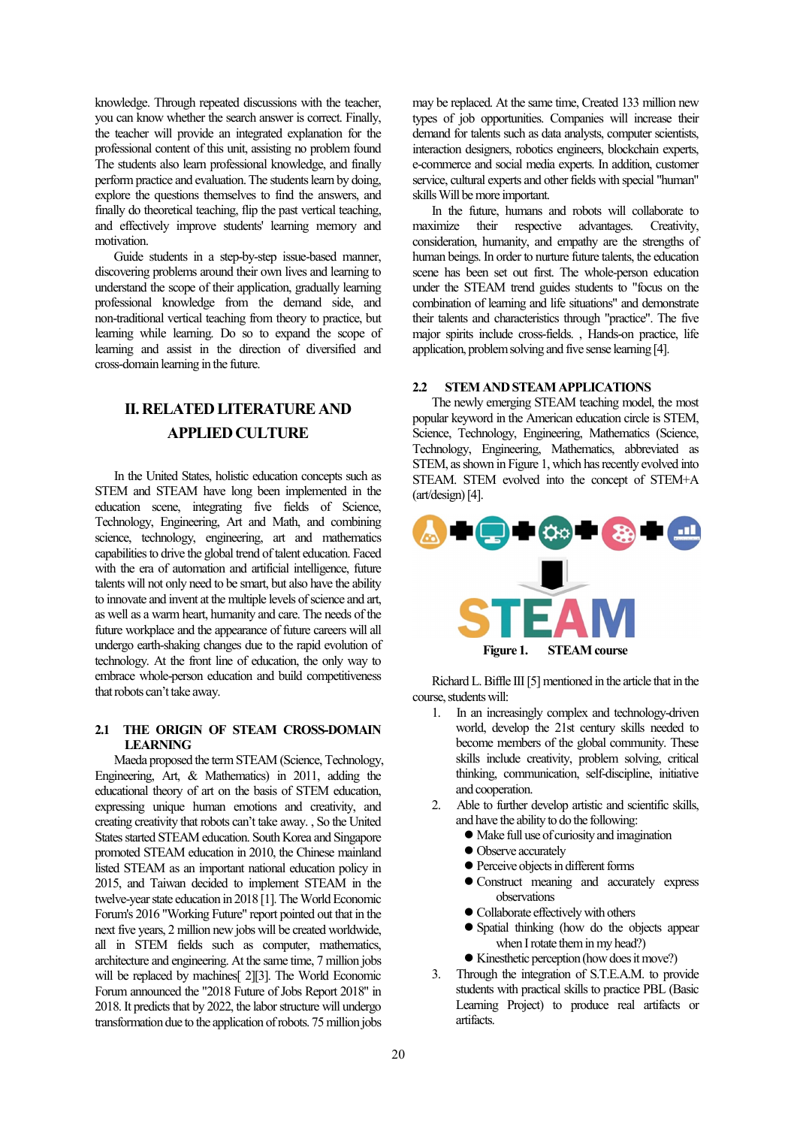knowledge. Through repeated discussions with the teacher, you can know whether the search answer is correct. Finally, the teacher will provide an integrated explanation for the professional content of this unit, assisting no problem found The students also learn professional knowledge, and finally perform practice and evaluation. The students learn by doing, explore the questions themselves to find the answers, and finally do theoretical teaching, flip the past vertical teaching, and effectively improve students' learning memory and motivation.

Guide students in a step-by-step issue-based manner, discovering problems around their own lives and learning to understand the scope of their application, gradually learning professional knowledge from the demand side, and non-traditional vertical teaching from theory to practice, but learning while learning. Do so to expand the scope of learning and assist in the direction of diversified and cross-domain learning in the future.

# **II. RELATED LITERATURE AND APPLIED CULTURE**

In the United States, holistic education concepts such as STEM and STEAM have long been implemented in the education scene, integrating five fields of Science, Technology, Engineering, Art and Math, and combining science, technology, engineering, art and mathematics capabilities to drive the global trend of talent education. Faced with the era of automation and artificial intelligence, future talents will not only need to be smart, but also have the ability to innovate and invent at the multiple levels of science and art, as well as a warm heart, humanity and care. The needs of the future workplace and the appearance of future careers will all undergo earth-shaking changes due to the rapid evolution of technology. At the front line of education, the only way to embrace whole-person education and build competitiveness that robots can't take away.

## **2.1 THE ORIGIN OF STEAM CROSS-DOMAIN LEARNING**

Maeda proposed the term STEAM (Science, Technology, Engineering, Art, & Mathematics) in 2011, adding the educational theory of art on the basis of STEM education, expressing unique human emotions and creativity, and creating creativity that robots can't take away. , So the United States started STEAM education. South Korea and Singapore promoted STEAM education in 2010, the Chinese mainland listed STEAM as an important national education policy in 2015, and Taiwan decided to implement STEAM in the twelve-year state education in 2018 [1]. The World Economic Forum's 2016 "Working Future" report pointed out that in the next five years, 2 million new jobs will be created worldwide, all in STEM fields such as computer, mathematics, architecture and engineering. At the same time, 7 million jobs will be replaced by machines<sup>[2][3]</sup>. The World Economic Forum announced the "2018 Future of Jobs Report 2018" in 2018. It predicts that by 2022, the labor structure will undergo transformation due to the application of robots. 75 million jobs

may be replaced. At the same time, Created 133 million new types of job opportunities. Companies will increase their demand for talents such as data analysts, computer scientists, interaction designers, robotics engineers, blockchain experts, e-commerce and social media experts. In addition, customer service, cultural experts and other fields with special "human" skills Will be more important.

In the future, humans and robots will collaborate to maximize their respective advantages. Creativity, their respective advantages. Creativity, consideration, humanity, and empathy are the strengths of human beings. In order to nurture future talents, the education scene has been set out first. The whole-person education under the STEAM trend guides students to "focus on the combination of learning and life situations" and demonstrate their talents and characteristics through "practice". The five major spirits include cross-fields. , Hands-on practice, life application, problem solving and five sense learning [4].

# **2.2 STEM AND STEAM APPLICATIONS**

The newly emerging STEAM teaching model, the most popular keyword in the American education circle is STEM, Science, Technology, Engineering, Mathematics (Science, Technology, Engineering, Mathematics, abbreviated as STEM, as shown in Figure 1, which has recently evolved into STEAM. STEM evolved into the concept of STEM+A (art/design) [4].



Richard L. Biffle III [5] mentioned in the article that in the course, students will:

- 1. In an increasingly complex and technology-driven world, develop the 21st century skills needed to become members of the global community. These skills include creativity, problem solving, critical thinking, communication, self-discipline, initiative and cooperation.
- 2. Able to further develop artistic and scientific skills, and have the ability to do the following:
	- Make full use of curiosity and imagination
	- Observe accurately
	- Perceive objects in different forms
	- Construct meaning and accurately express observations
	- Collaborate effectively with others
	- Spatial thinking (how do the objects appear when I rotate them in my head?)
	- Kinesthetic perception (how does it move?)
- 3. Through the integration of S.T.E.A.M. to provide students with practical skills to practice PBL (Basic Learning Project) to produce real artifacts or artifacts.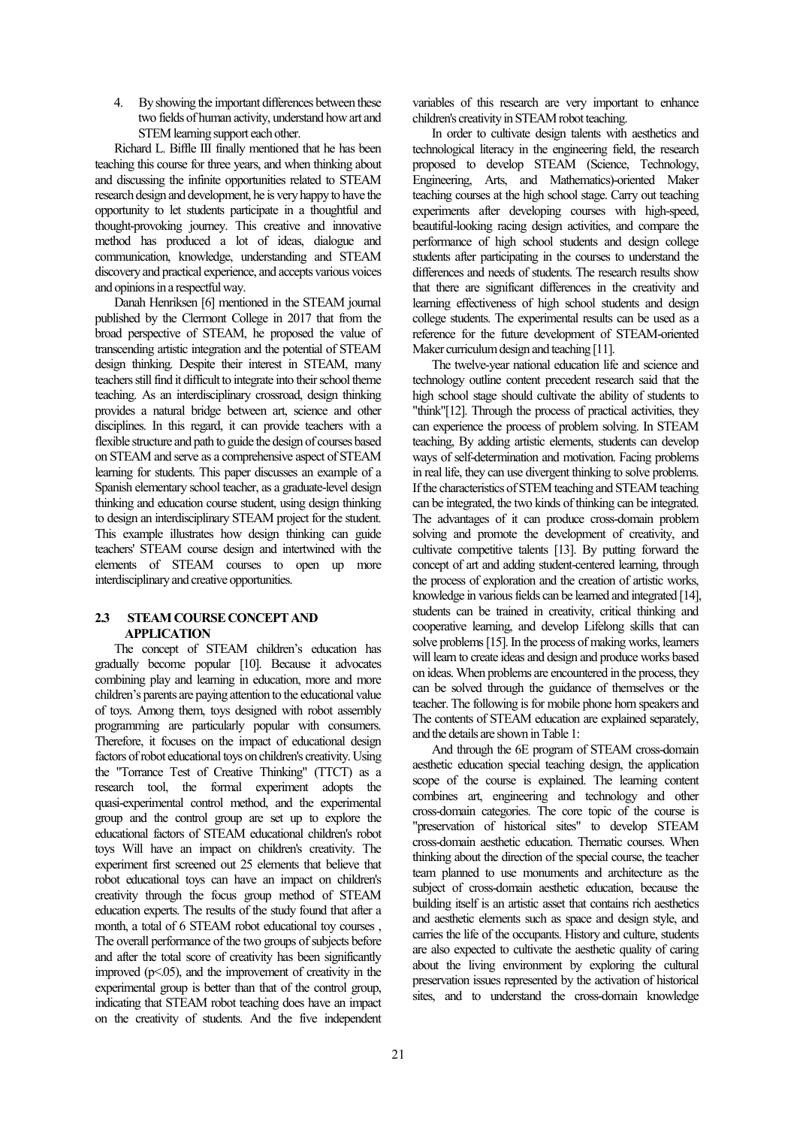4. By showing the important differences between these two fields of human activity, understand how art and STEM learning support each other.

Richard L. Biffle III finally mentioned that he has been teaching this course for three years, and when thinking about and discussing the infinite opportunities related to STEAM research design and development, he is very happy to have the opportunity to let students participate in a thoughtful and thought-provoking journey. This creative and innovative method has produced a lot of ideas, dialogue and communication, knowledge, understanding and STEAM discovery and practical experience, and accepts various voices and opinions in a respectful way.

Danah Henriksen [6] mentioned in the STEAM journal published by the Clermont College in 2017 that from the broad perspective of STEAM, he proposed the value of transcending artistic integration and the potential of STEAM design thinking. Despite their interest in STEAM, many teachers still find it difficult to integrate into their school theme teaching. As an interdisciplinary crossroad, design thinking provides a natural bridge between art, science and other disciplines. In this regard, it can provide teachers with a flexible structure and path to guide the design of courses based on STEAM and serve as a comprehensive aspect of STEAM learning for students. This paper discusses an example of a Spanish elementary school teacher, as a graduate-level design thinking and education course student, using design thinking to design an interdisciplinary STEAM project for the student. This example illustrates how design thinking can guide teachers' STEAM course design and intertwined with the elements of STEAM courses to open up more interdisciplinary and creative opportunities.

## **2.3 STEAMCOURSECONCEPTAND APPLICATION**

The concept of STEAM children's education has gradually become popular [10]. Because it advocates combining play and learning in education, more and more children's parents are paying attention to the educational value of toys. Among them, toys designed with robot assembly programming are particularly popular with consumers. Therefore, it focuses on the impact of educational design factors of robot educational toys on children's creativity. Using the "Torrance Test of Creative Thinking" (TTCT) as a research tool, the formal experiment adopts the quasi-experimental control method, and the experimental group and the control group are set up to explore the educational factors of STEAM educational children's robot toys Will have an impact on children's creativity. The experiment first screened out 25 elements that believe that robot educational toys can have an impact on children's creativity through the focus group method of STEAM education experts. The results of the study found that after a month, a total of 6 STEAM robot educational toy courses , The overall performance of the two groups of subjects before and after the total score of creativity has been significantly improved  $(p<.05)$ , and the improvement of creativity in the experimental group is better than that of the control group, indicating that STEAM robot teaching does have an impact on the creativity of students. And the five independent

variables of this research are very important to enhance children's creativity in STEAM robot teaching.

In order to cultivate design talents with aesthetics and technological literacy in the engineering field, the research proposed to develop STEAM (Science, Technology, Engineering, Arts, and Mathematics)-oriented Maker teaching courses at the high school stage. Carry out teaching experiments after developing courses with high-speed, beautiful-looking racing design activities, and compare the performance of high school students and design college students after participating in the courses to understand the differences and needs of students. The research results show that there are significant differences in the creativity and learning effectiveness of high school students and design college students. The experimental results can be used as a reference for the future development of STEAM-oriented Maker curriculum design and teaching [11].

The twelve-year national education life and science and technology outline content precedent research said that the high school stage should cultivate the ability of students to "think"[12]. Through the process of practical activities, they can experience the process of problem solving. In STEAM teaching, By adding artistic elements, students can develop ways of self-determination and motivation. Facing problems in real life, they can use divergent thinking to solve problems. If the characteristics of STEM teaching and STEAM teaching can be integrated, the two kinds of thinking can be integrated. The advantages of it can produce cross-domain problem solving and promote the development of creativity, and cultivate competitive talents [13]. By putting forward the concept of art and adding student-centered learning, through the process of exploration and the creation of artistic works, knowledge in various fields can be learned and integrated [14], students can be trained in creativity, critical thinking and cooperative learning, and develop Lifelong skills that can solve problems [15]. In the process of making works, learners will learn to create ideas and design and produce works based on ideas. When problems are encountered in the process, they can be solved through the guidance of themselves or the teacher. The following is for mobile phone horn speakers and The contents of STEAM education are explained separately, and the details are shown in Table 1:

And through the 6E program of STEAM cross-domain aesthetic education special teaching design, the application scope of the course is explained. The learning content combines art, engineering and technology and other cross-domain categories. The core topic of the course is "preservation of historical sites" to develop STEAM cross-domain aesthetic education. Thematic courses. When thinking about the direction of the special course, the teacher team planned to use monuments and architecture as the subject of cross-domain aesthetic education, because the building itself is an artistic asset that contains rich aesthetics and aesthetic elements such as space and design style, and carries the life of the occupants. History and culture, students are also expected to cultivate the aesthetic quality of caring about the living environment by exploring the cultural preservation issues represented by the activation of historical sites, and to understand the cross-domain knowledge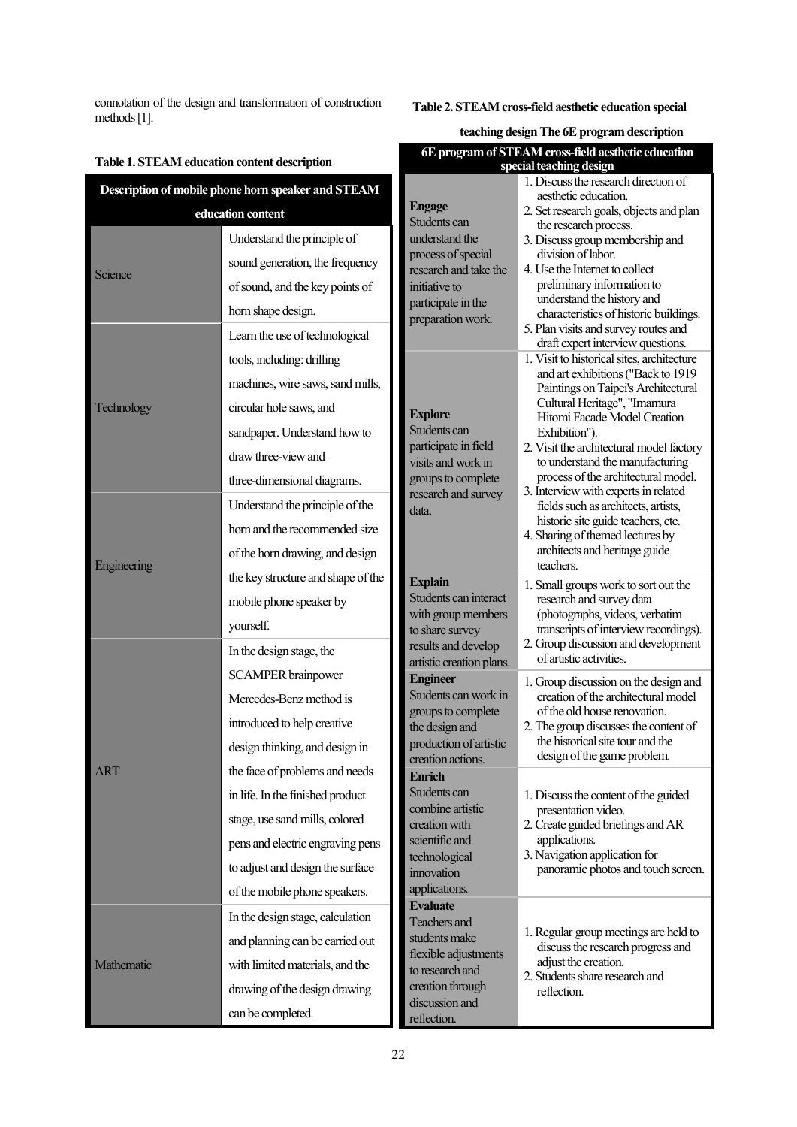connotation of the design and transformation of construction methods [1].

# **Table 2. STEAM cross-field aesthetic education special**

# **teaching designThe 6E program description**

| Table 1. STEAM education content description       |                                    | 6E program of STEAM cross-field aesthetic education<br>special teaching design                   |                                                                                                                                                                                                                                                                                                                                                                                                                                                                                                                                       |
|----------------------------------------------------|------------------------------------|--------------------------------------------------------------------------------------------------|---------------------------------------------------------------------------------------------------------------------------------------------------------------------------------------------------------------------------------------------------------------------------------------------------------------------------------------------------------------------------------------------------------------------------------------------------------------------------------------------------------------------------------------|
| Description of mobile phone horn speaker and STEAM |                                    |                                                                                                  | 1. Discuss the research direction of                                                                                                                                                                                                                                                                                                                                                                                                                                                                                                  |
| education content                                  |                                    | <b>Engage</b>                                                                                    | aesthetic education.<br>2. Set research goals, objects and plan                                                                                                                                                                                                                                                                                                                                                                                                                                                                       |
| Science                                            | Understand the principle of        | Students can<br>understand the                                                                   | the research process.<br>3. Discuss group membership and                                                                                                                                                                                                                                                                                                                                                                                                                                                                              |
|                                                    | sound generation, the frequency    | process of special<br>research and take the<br>initiative to                                     | division of labor.<br>4. Use the Internet to collect<br>preliminary information to<br>understand the history and<br>characteristics of historic buildings.<br>5. Plan visits and survey routes and<br>draft expert interview questions.                                                                                                                                                                                                                                                                                               |
|                                                    | of sound, and the key points of    |                                                                                                  |                                                                                                                                                                                                                                                                                                                                                                                                                                                                                                                                       |
|                                                    | horn shape design.                 | participate in the<br>preparation work.                                                          |                                                                                                                                                                                                                                                                                                                                                                                                                                                                                                                                       |
| Technology                                         | Learn the use of technological     |                                                                                                  |                                                                                                                                                                                                                                                                                                                                                                                                                                                                                                                                       |
|                                                    | tools, including: drilling         |                                                                                                  | 1. Visit to historical sites, architecture<br>and art exhibitions ("Back to 1919<br>Paintings on Taipei's Architectural<br>Cultural Heritage", "Imamura<br>Hitomi Facade Model Creation<br>Exhibition").<br>2. Visit the architectural model factory<br>to understand the manufacturing<br>process of the architectural model.<br>3. Interview with experts in related<br>fields such as architects, artists,<br>historic site guide teachers, etc.<br>4. Sharing of themed lectures by<br>architects and heritage guide<br>teachers. |
|                                                    | machines, wire saws, sand mills,   |                                                                                                  |                                                                                                                                                                                                                                                                                                                                                                                                                                                                                                                                       |
|                                                    | circular hole saws, and            | <b>Explore</b>                                                                                   |                                                                                                                                                                                                                                                                                                                                                                                                                                                                                                                                       |
|                                                    | sandpaper. Understand how to       | Students can                                                                                     |                                                                                                                                                                                                                                                                                                                                                                                                                                                                                                                                       |
|                                                    | draw three-view and                | participate in field<br>visits and work in<br>groups to complete<br>research and survey<br>data. |                                                                                                                                                                                                                                                                                                                                                                                                                                                                                                                                       |
|                                                    | three-dimensional diagrams.        |                                                                                                  |                                                                                                                                                                                                                                                                                                                                                                                                                                                                                                                                       |
| Engineering                                        | Understand the principle of the    |                                                                                                  |                                                                                                                                                                                                                                                                                                                                                                                                                                                                                                                                       |
|                                                    | horn and the recommended size      |                                                                                                  |                                                                                                                                                                                                                                                                                                                                                                                                                                                                                                                                       |
|                                                    | of the horn drawing, and design    |                                                                                                  |                                                                                                                                                                                                                                                                                                                                                                                                                                                                                                                                       |
|                                                    | the key structure and shape of the | <b>Explain</b>                                                                                   | 1. Small groups work to sort out the<br>research and survey data<br>with group members<br>(photographs, videos, verbatim<br>transcripts of interview recordings).<br>2. Group discussion and development<br>of artistic activities.                                                                                                                                                                                                                                                                                                   |
|                                                    | mobile phone speaker by            | Students can interact                                                                            |                                                                                                                                                                                                                                                                                                                                                                                                                                                                                                                                       |
|                                                    | yourself.                          | to share survey                                                                                  |                                                                                                                                                                                                                                                                                                                                                                                                                                                                                                                                       |
|                                                    | In the design stage, the           | results and develop                                                                              |                                                                                                                                                                                                                                                                                                                                                                                                                                                                                                                                       |
|                                                    | <b>SCAMPER</b> brainpower          | artistic creation plans.<br><b>Engineer</b>                                                      | 1. Group discussion on the design and<br>creation of the architectural model<br>of the old house renovation.<br>2. The group discusses the content of<br>the historical site tour and the<br>design of the game problem.                                                                                                                                                                                                                                                                                                              |
|                                                    | Mercedes-Benz method is            | Students can work in                                                                             |                                                                                                                                                                                                                                                                                                                                                                                                                                                                                                                                       |
| <b>ART</b>                                         | introduced to help creative        | groups to complete<br>the design and                                                             |                                                                                                                                                                                                                                                                                                                                                                                                                                                                                                                                       |
|                                                    | design thinking, and design in     | production of artistic                                                                           |                                                                                                                                                                                                                                                                                                                                                                                                                                                                                                                                       |
|                                                    | the face of problems and needs     | creation actions.<br><b>Enrich</b>                                                               |                                                                                                                                                                                                                                                                                                                                                                                                                                                                                                                                       |
|                                                    | in life. In the finished product   | Students can                                                                                     | 1. Discuss the content of the guided<br>combine artistic<br>presentation video.<br>2. Create guided briefings and AR<br>applications.<br>3. Navigation application for<br>technological<br>panoramic photos and touch screen.                                                                                                                                                                                                                                                                                                         |
|                                                    | stage, use sand mills, colored     | creation with                                                                                    |                                                                                                                                                                                                                                                                                                                                                                                                                                                                                                                                       |
|                                                    | pens and electric engraving pens   | scientific and                                                                                   |                                                                                                                                                                                                                                                                                                                                                                                                                                                                                                                                       |
|                                                    | to adjust and design the surface   | innovation                                                                                       |                                                                                                                                                                                                                                                                                                                                                                                                                                                                                                                                       |
|                                                    | of the mobile phone speakers.      | applications.                                                                                    |                                                                                                                                                                                                                                                                                                                                                                                                                                                                                                                                       |
| Mathematic                                         | In the design stage, calculation   | <b>Evaluate</b><br>Teachers and                                                                  | 1. Regular group meetings are held to<br>discuss the research progress and<br>flexible adjustments<br>adjust the creation.<br>2. Students share research and<br>reflection.<br>discussion and                                                                                                                                                                                                                                                                                                                                         |
|                                                    | and planning can be carried out    | students make                                                                                    |                                                                                                                                                                                                                                                                                                                                                                                                                                                                                                                                       |
|                                                    | with limited materials, and the    | to research and                                                                                  |                                                                                                                                                                                                                                                                                                                                                                                                                                                                                                                                       |
|                                                    | drawing of the design drawing      | creation through                                                                                 |                                                                                                                                                                                                                                                                                                                                                                                                                                                                                                                                       |
|                                                    | can be completed.                  | reflection.                                                                                      |                                                                                                                                                                                                                                                                                                                                                                                                                                                                                                                                       |

# 22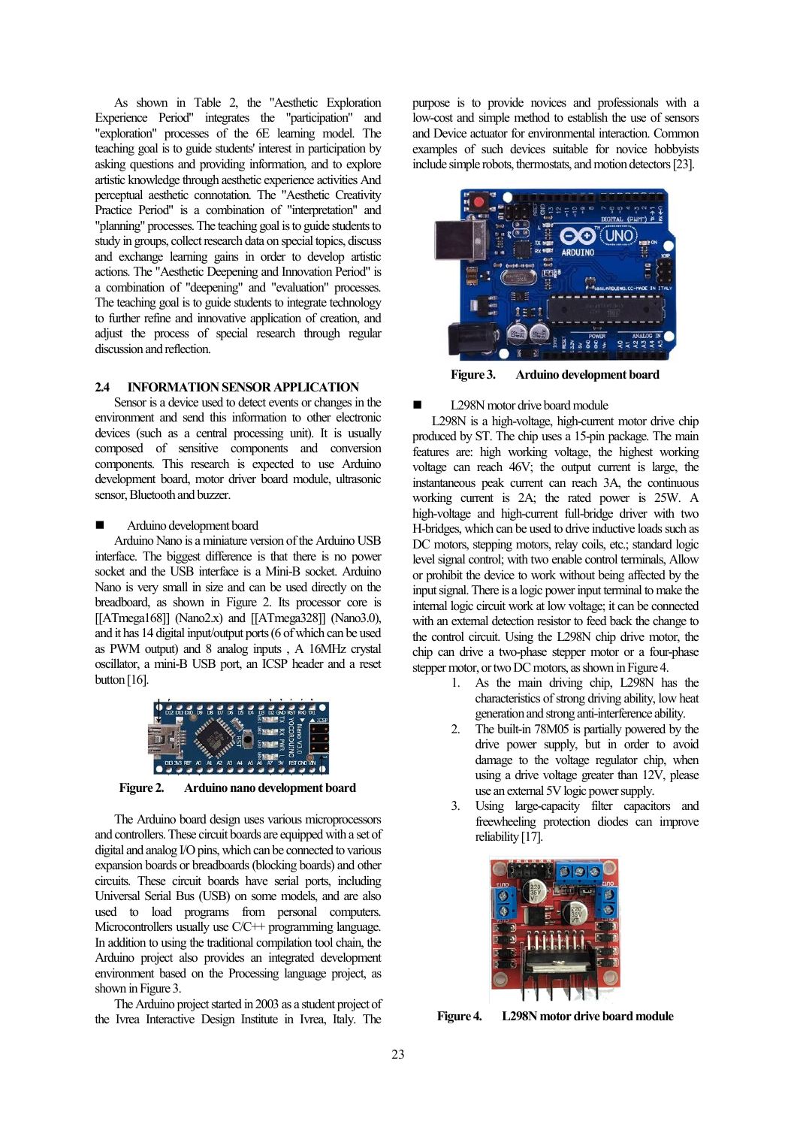As shown in Table 2, the "Aesthetic Exploration Experience Period" integrates the "participation" and "exploration" processes of the 6E learning model. The teaching goal is to guide students' interest in participation by asking questions and providing information, and to explore artistic knowledge through aesthetic experience activities And perceptual aesthetic connotation. The "Aesthetic Creativity Practice Period" is a combination of "interpretation" and "planning" processes. The teaching goal is to guide students to study in groups, collect research data on special topics, discuss and exchange learning gains in order to develop artistic actions. The "Aesthetic Deepening and Innovation Period" is a combination of "deepening" and "evaluation" processes. The teaching goal is to guide students to integrate technology to further refine and innovative application of creation, and adjust the process of special research through regular discussion and reflection.

# **2.4 INFORMATION SENSOR APPLICATION**

Sensor is a device used to detect events or changes in the environment and send this information to other electronic devices (such as a central processing unit). It is usually composed of sensitive components and conversion components. This research is expected to use Arduino development board, motor driver board module, ultrasonic sensor, Bluetooth and buzzer.

#### Arduino development board

Arduino Nano is a miniature version of the Arduino USB interface. The biggest difference is that there is no power socket and the USB interface is a Mini-B socket. Arduino Nano is very small in size and can be used directly on the breadboard, as shown in Figure 2. Its processor core is [[ATmega168]] (Nano2.x) and [[ATmega328]] (Nano3.0), and it has 14 digital input/output ports (6 of which can be used as PWM output) and 8 analog inputs , A 16MHz crystal oscillator, a mini-B USB port, an ICSP header and a reset button [16].



**Figure 2. Arduino nano development board**

The Arduino board design uses various microprocessors and controllers. These circuit boards are equipped with a set of digital and analog I/O pins, which can be connected to various expansion boards or breadboards (blocking boards) and other circuits. These circuit boards have serial ports, including Universal Serial Bus (USB) on some models, and are also used to load programs from personal computers. Microcontrollers usually use C/C++ programming language. In addition to using the traditional compilation tool chain, the Arduino project also provides an integrated development environment based on the Processing language project, as shown in Figure 3.

The Arduino project started in 2003 as a student project of the Ivrea Interactive Design Institute in Ivrea, Italy. The

purpose is to provide novices and professionals with a low-cost and simple method to establish the use of sensors and Device actuator for environmental interaction. Common examples of such devices suitable for novice hobbyists include simple robots, thermostats, and motion detectors [23].



**Figure 3. Arduino development board**

#### L298N motor drive board module

L298N is a high-voltage, high-current motor drive chip produced by ST. The chip uses a 15-pin package. The main features are: high working voltage, the highest working voltage can reach 46V; the output current is large, the instantaneous peak current can reach 3A, the continuous working current is 2A; the rated power is 25W. A high-voltage and high-current full-bridge driver with two H-bridges, which can be used to drive inductive loads such as DC motors, stepping motors, relay coils, etc.; standard logic level signal control; with two enable control terminals, Allow or prohibit the device to work without being affected by the input signal. There is a logic power input terminal to make the internal logic circuit work at low voltage; it can be connected with an external detection resistor to feed back the change to the control circuit. Using the L298N chip drive motor, the chip can drive a two-phase stepper motor or a four-phase stepper motor, or two DC motors, as shown in Figure 4.

- 1. As the main driving chip, L298N has the characteristics of strong driving ability, low heat generation and strong anti-interference ability.
- 2. The built-in 78M05 is partially powered by the drive power supply, but in order to avoid damage to the voltage regulator chip, when using a drive voltage greater than 12V, please use an external 5V logic power supply.
- 3. Using large-capacity filter capacitors and freewheeling protection diodes can improve reliability [17].



**Figure 4. L298N motor drive board module**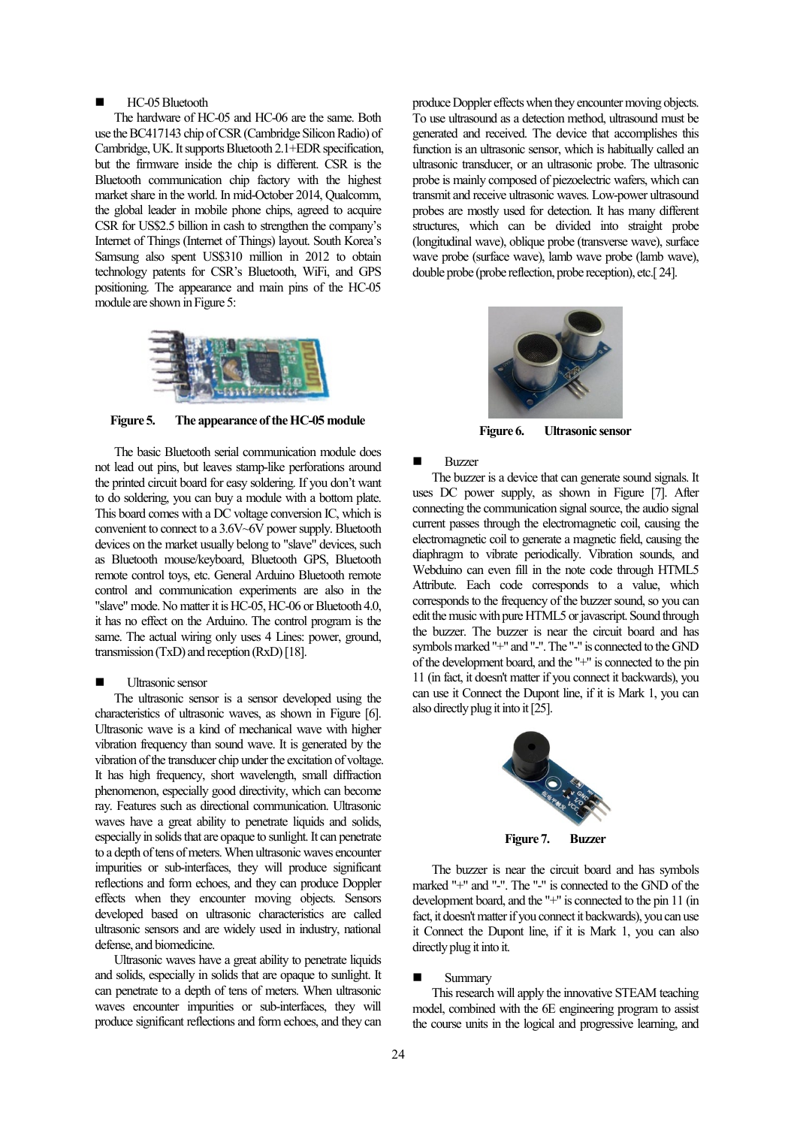## HC-05 Bluetooth

The hardware of HC-05 and HC-06 are the same. Both use the BC417143 chip of CSR (Cambridge Silicon Radio) of Cambridge, UK. It supports Bluetooth 2.1+EDR specification, but the firmware inside the chip is different. CSR is the Bluetooth communication chip factory with the highest market share in the world. In mid-October 2014, Qualcomm, the global leader in mobile phone chips, agreed to acquire CSR for US\$2.5 billion in cash to strengthen the company's Internet of Things (Internet of Things) layout. South Korea's Samsung also spent US\$310 million in 2012 to obtain technology patents for CSR's Bluetooth, WiFi, and GPS positioning. The appearance and main pins of the HC-05 module are shown in Figure 5:



**Figure 5. The appearance of the HC-05 module**

The basic Bluetooth serial communication module does not lead out pins, but leaves stamp-like perforations around the printed circuit board for easy soldering. If you don't want to do soldering, you can buy a module with a bottom plate. This board comes with a DC voltage conversion IC, which is convenient to connect to a 3.6V~6V power supply. Bluetooth devices on the market usually belong to "slave" devices, such as Bluetooth mouse/keyboard, Bluetooth GPS, Bluetooth remote control toys, etc. General Arduino Bluetooth remote control and communication experiments are also in the "slave" mode. No matter it is HC-05, HC-06 or Bluetooth 4.0, it has no effect on the Arduino. The control program is the same. The actual wiring only uses 4 Lines: power, ground, transmission (TxD) and reception (RxD) [18].

#### Ultrasonic sensor

The ultrasonic sensor is a sensor developed using the characteristics of ultrasonic waves, as shown in Figure [6]. Ultrasonic wave is a kind of mechanical wave with higher vibration frequency than sound wave. It is generated by the vibration of the transducer chip under the excitation of voltage. It has high frequency, short wavelength, small diffraction phenomenon, especially good directivity, which can become ray. Features such as directional communication. Ultrasonic waves have a great ability to penetrate liquids and solids, especially in solids that are opaque to sunlight. It can penetrate to a depth of tens of meters. When ultrasonic waves encounter impurities or sub-interfaces, they will produce significant reflections and form echoes, and they can produce Doppler effects when they encounter moving objects. Sensors developed based on ultrasonic characteristics are called ultrasonic sensors and are widely used in industry, national defense, and biomedicine.

Ultrasonic waves have a great ability to penetrate liquids and solids, especially in solids that are opaque to sunlight. It can penetrate to a depth of tens of meters. When ultrasonic waves encounter impurities or sub-interfaces, they will produce significant reflections and form echoes, and they can produce Doppler effects when they encounter moving objects. To use ultrasound as a detection method, ultrasound must be generated and received. The device that accomplishes this function is an ultrasonic sensor, which is habitually called an ultrasonic transducer, or an ultrasonic probe. The ultrasonic probe is mainly composed of piezoelectric wafers, which can transmit and receive ultrasonic waves. Low-power ultrasound probes are mostly used for detection. It has many different structures, which can be divided into straight probe (longitudinal wave), oblique probe (transverse wave), surface wave probe (surface wave), lamb wave probe (lamb wave), double probe (probe reflection, probe reception), etc.[ 24].



**Figure 6. Ultrasonic sensor**

#### **Buzzer**

The buzzer is a device that can generate sound signals. It uses DC power supply, as shown in Figure [7]. After connecting the communication signal source, the audio signal current passes through the electromagnetic coil, causing the electromagnetic coil to generate a magnetic field, causing the diaphragm to vibrate periodically. Vibration sounds, and Webduino can even fill in the note code through HTML5 Attribute. Each code corresponds to a value, which corresponds to the frequency of the buzzer sound, so you can edit the music with pure HTML5 or javascript. Sound through the buzzer. The buzzer is near the circuit board and has symbols marked "+" and "-". The "-" is connected to the GND of the development board, and the "+" is connected to the pin 11 (in fact, it doesn't matter if you connect it backwards), you can use it Connect the Dupont line, if it is Mark 1, you can also directly plug it into it [25].



**Figure 7. Buzzer**

The buzzer is near the circuit board and has symbols marked "+" and "-". The "-" is connected to the GND of the development board, and the "+" is connected to the pin 11 (in fact, it doesn't matter if you connect it backwards), you can use it Connect the Dupont line, if it is Mark 1, you can also directly plug it into it.

#### Summary

This research will apply the innovative STEAM teaching model, combined with the 6E engineering program to assist the course units in the logical and progressive learning, and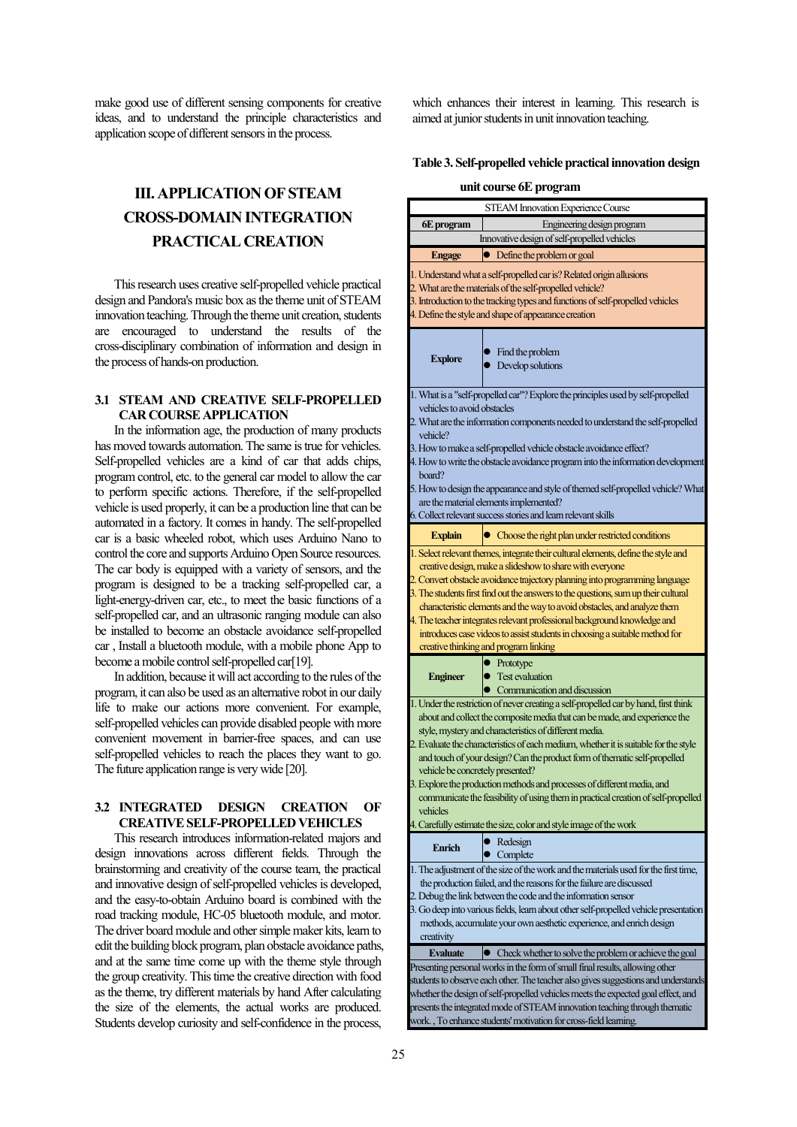make good use of different sensing components for creative ideas, and to understand the principle characteristics and application scope of different sensors in the process.

# **III. APPLICATION OF STEAM CROSS-DOMAIN INTEGRATION PRACTICAL CREATION**

This research uses creative self-propelled vehicle practical design and Pandora's music box as the theme unit of STEAM innovation teaching. Through the theme unit creation, students are encouraged to understand the results of the cross-disciplinary combination of information and design in the process ofhands-on production.

# **3.1 STEAM AND CREATIVE SELF-PROPELLED CAR COURSE APPLICATION**

In the information age, the production of many products has moved towards automation. The same is true for vehicles. Self-propelled vehicles are a kind of car that adds chips, program control, etc. to the general car model to allow the car to perform specific actions. Therefore, if the self-propelled vehicle is used properly, it can be a production line that can be automated in a factory. It comes in handy. The self-propelled car is a basic wheeled robot, which uses Arduino Nano to control the core and supports Arduino Open Source resources. The car body is equipped with a variety of sensors, and the program is designed to be a tracking self-propelled car, a light-energy-driven car, etc., to meet the basic functions of a self-propelled car, and an ultrasonic ranging module can also be installed to become an obstacle avoidance self-propelled car , Install a bluetooth module, with a mobile phone App to become a mobile control self-propelled car[19].

In addition, because it will act according to the rules of the program, it can also be used as an alternative robot in our daily life to make our actions more convenient. For example, self-propelled vehicles can provide disabled people with more convenient movement in barrier-free spaces, and can use self-propelled vehicles to reach the places they want to go. The future application range is very wide [20].

# **3.2 INTEGRATED DESIGN CREATION OF CREATIVE SELF-PROPELLED VEHICLES**

This research introduces information-related majors and design innovations across different fields. Through the brainstorming and creativity of the course team, the practical and innovative design of self-propelled vehicles is developed, and the easy-to-obtain Arduino board is combined with the road tracking module, HC-05 bluetooth module, and motor. The driver board module and other simple maker kits, learn to edit the building block program, plan obstacle avoidance paths, and at the same time come up with the theme style through the group creativity. This time the creative direction with food as the theme, try different materials by hand After calculating the size of the elements, the actual works are produced. Students develop curiosity and self-confidence in the process,

which enhances their interest in learning. This research is aimed at junior students in unit innovation teaching.

### **Table 3. Self-propelled vehicle practical innovation design**

**unit course 6E program**

| <b>STEAM Innovation Experience Course</b>                                                                                                                                                                                                                                                                                                                                                                                                                                                                                                                                                                                                                                              |                                                                                                                                                                                                                                                                                                                                                                                                                                                                                                                                                            |  |  |  |
|----------------------------------------------------------------------------------------------------------------------------------------------------------------------------------------------------------------------------------------------------------------------------------------------------------------------------------------------------------------------------------------------------------------------------------------------------------------------------------------------------------------------------------------------------------------------------------------------------------------------------------------------------------------------------------------|------------------------------------------------------------------------------------------------------------------------------------------------------------------------------------------------------------------------------------------------------------------------------------------------------------------------------------------------------------------------------------------------------------------------------------------------------------------------------------------------------------------------------------------------------------|--|--|--|
| 6E program                                                                                                                                                                                                                                                                                                                                                                                                                                                                                                                                                                                                                                                                             | Engineering design program                                                                                                                                                                                                                                                                                                                                                                                                                                                                                                                                 |  |  |  |
| Innovative design of self-propelled vehicles                                                                                                                                                                                                                                                                                                                                                                                                                                                                                                                                                                                                                                           |                                                                                                                                                                                                                                                                                                                                                                                                                                                                                                                                                            |  |  |  |
| Engage                                                                                                                                                                                                                                                                                                                                                                                                                                                                                                                                                                                                                                                                                 | Define the problem or goal<br>$\bullet$                                                                                                                                                                                                                                                                                                                                                                                                                                                                                                                    |  |  |  |
| 1. Understand what a self-propelled car is? Related origin allusions<br>2. What are the materials of the self-propelled vehicle?<br>3. Introduction to the tracking types and functions of self-propelled vehicles<br>4. Define the style and shape of appearance creation                                                                                                                                                                                                                                                                                                                                                                                                             |                                                                                                                                                                                                                                                                                                                                                                                                                                                                                                                                                            |  |  |  |
| <b>Explore</b>                                                                                                                                                                                                                                                                                                                                                                                                                                                                                                                                                                                                                                                                         | Find the problem<br>Develop solutions                                                                                                                                                                                                                                                                                                                                                                                                                                                                                                                      |  |  |  |
| 1. What is a "self-propelled car"? Explore the principles used by self-propelled                                                                                                                                                                                                                                                                                                                                                                                                                                                                                                                                                                                                       |                                                                                                                                                                                                                                                                                                                                                                                                                                                                                                                                                            |  |  |  |
| vehicles to avoid obstacles<br>2. What are the information components needed to understand the self-propelled<br>vehicle?                                                                                                                                                                                                                                                                                                                                                                                                                                                                                                                                                              |                                                                                                                                                                                                                                                                                                                                                                                                                                                                                                                                                            |  |  |  |
| board?                                                                                                                                                                                                                                                                                                                                                                                                                                                                                                                                                                                                                                                                                 | 3. How to make a self-propelled vehicle obstacle avoidance effect?<br>4. How to write the obstacle avoidance program into the information development                                                                                                                                                                                                                                                                                                                                                                                                      |  |  |  |
| 5. How to design the appearance and style of themed self-propelled vehicle? What<br>are the material elements implemented?                                                                                                                                                                                                                                                                                                                                                                                                                                                                                                                                                             |                                                                                                                                                                                                                                                                                                                                                                                                                                                                                                                                                            |  |  |  |
|                                                                                                                                                                                                                                                                                                                                                                                                                                                                                                                                                                                                                                                                                        | 6. Collect relevant success stories and learn relevant skills                                                                                                                                                                                                                                                                                                                                                                                                                                                                                              |  |  |  |
| <b>Explain</b>                                                                                                                                                                                                                                                                                                                                                                                                                                                                                                                                                                                                                                                                         | Choose the right plan under restricted conditions                                                                                                                                                                                                                                                                                                                                                                                                                                                                                                          |  |  |  |
|                                                                                                                                                                                                                                                                                                                                                                                                                                                                                                                                                                                                                                                                                        | 1. Select relevant themes, integrate their cultural elements, define the style and<br>creative design, make a slideshow to share with everyone<br>2. Convert obstacle avoidance trajectory planning into programming language<br>3. The students first find out the answers to the questions, sum up their cultural<br>characteristic elements and the way to avoid obstacles, and analyze them<br>4. The teacher integrates relevant professional background knowledge and<br>introduces case videos to assist students in choosing a suitable method for |  |  |  |
|                                                                                                                                                                                                                                                                                                                                                                                                                                                                                                                                                                                                                                                                                        | creative thinking and program linking                                                                                                                                                                                                                                                                                                                                                                                                                                                                                                                      |  |  |  |
| <b>Engineer</b>                                                                                                                                                                                                                                                                                                                                                                                                                                                                                                                                                                                                                                                                        | $\bullet$ Prototype<br><b>Test evaluation</b><br>Communication and discussion                                                                                                                                                                                                                                                                                                                                                                                                                                                                              |  |  |  |
| 1. Under the restriction of never creating a self-propelled car by hand, first think<br>about and collect the composite media that can be made, and experience the<br>style, mystery and characteristics of different media.<br>2. Evaluate the characteristics of each medium, whether it is suitable for the style<br>and touch of your design? Can the product form of thematic self-propelled<br>vehicle be concretely presented?<br>3. Explore the production methods and processes of different media, and<br>communicate the feasibility of using them in practical creation of self-propelled<br>vehicles<br>4. Carefully estimate the size, color and style image of the work |                                                                                                                                                                                                                                                                                                                                                                                                                                                                                                                                                            |  |  |  |
| <b>Enrich</b>                                                                                                                                                                                                                                                                                                                                                                                                                                                                                                                                                                                                                                                                          | Redesign                                                                                                                                                                                                                                                                                                                                                                                                                                                                                                                                                   |  |  |  |
| creativity                                                                                                                                                                                                                                                                                                                                                                                                                                                                                                                                                                                                                                                                             | Complete<br>1. The adjustment of the size of the work and the materials used for the first time,<br>the production failed, and the reasons for the failure are discussed<br>2. Debug the link between the code and the information sensor<br>3. Go deep into various fields, learn about other self-propelled vehicle presentation<br>methods, accumulate your own aesthetic experience, and enrich design                                                                                                                                                 |  |  |  |
| <b>Evaluate</b>                                                                                                                                                                                                                                                                                                                                                                                                                                                                                                                                                                                                                                                                        | • Check whether to solve the problem or achieve the goal                                                                                                                                                                                                                                                                                                                                                                                                                                                                                                   |  |  |  |
| Presenting personal works in the form of small final results, allowing other<br>students to observe each other. The teacher also gives suggestions and understands<br>whether the design of self-propelled vehicles meets the expected goal effect, and<br>presents the integrated mode of STEAM innovation teaching through thematic<br>work., To enhance students' motivation for cross-field learning.                                                                                                                                                                                                                                                                              |                                                                                                                                                                                                                                                                                                                                                                                                                                                                                                                                                            |  |  |  |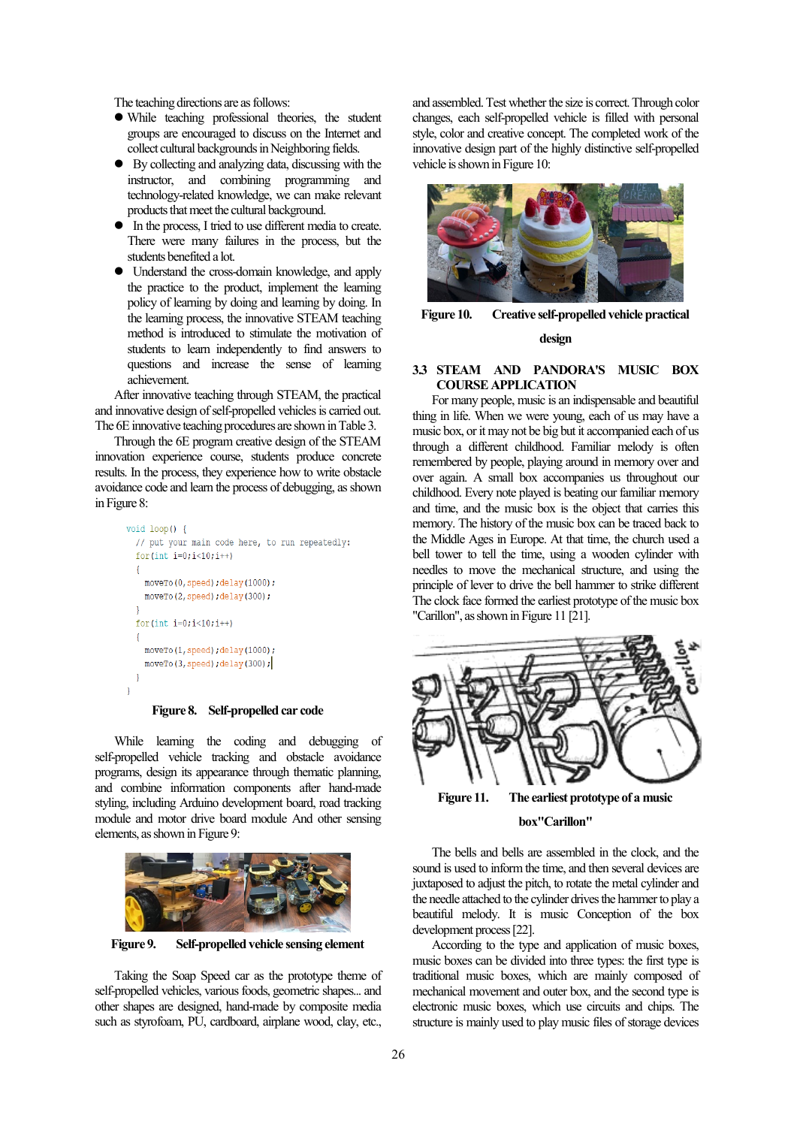The teaching directions are as follows:

- While teaching professional theories, the student groups are encouraged to discuss on the Internet and collect cultural backgrounds in Neighboring fields.
- By collecting and analyzing data, discussing with the instructor, and combining programming and technology-related knowledge, we can make relevant products that meet the cultural background.
- In the process, I tried to use different media to create. There were many failures in the process, but the students benefited a lot.
- Understand the cross-domain knowledge, and apply the practice to the product, implement the learning policy of learning by doing and learning by doing. In the learning process, the innovative STEAM teaching method is introduced to stimulate the motivation of students to learn independently to find answers to questions and increase the sense of learning achievement.

After innovative teaching through STEAM, the practical and innovative design of self-propelled vehicles is carried out. The 6E innovative teaching procedures are shown in Table 3.

Through the 6E program creative design of the STEAM innovation experience course, students produce concrete results. In the process, they experience how to write obstacle avoidance code and learn the process of debugging, as shown in Figure 8:

```
void loop() { }// put your main code here, to run repeatedly:
  for (int i=0; i<10; i++)moveTo(0, speed); delay(1000);moveTo(2, speed); delay(300);
  n
  for (int i=0; i<10; i++)\overline{\mathcal{L}}moveTo(1, speed); delay(1000);
    moveTo(3, speed); delay(300);- 1
\overline{\phantom{a}}
```
**Figure 8. Self-propelled car code**

While learning the coding and debugging of self-propelled vehicle tracking and obstacle avoidance programs, design its appearance through thematic planning, and combine information components after hand-made styling, including Arduino development board, road tracking module and motor drive board module And other sensing elements, as shown in Figure 9:



**Figure 9. Self-propelled vehicle sensing element**

Taking the Soap Speed car as the prototype theme of self-propelled vehicles, various foods, geometric shapes... and other shapes are designed, hand-made by composite media such as styrofoam, PU, cardboard, airplane wood, clay, etc.,

and assembled. Test whether the size is correct. Through color changes, each self-propelled vehicle is filled with personal style, color and creative concept. The completed work of the innovative design part of the highly distinctive self-propelled vehicle is shown in Figure 10:



**Figure 10. Creative self-propelled vehicle practical design**

### **3.3 STEAM AND PANDORA'S MUSIC BOX COURSE APPLICATION**

For many people, music is an indispensable and beautiful thing in life. When we were young, each of us may have a music box, or it may not be big but it accompanied each of us through a different childhood. Familiar melody is often remembered by people, playing around in memory over and over again. A small box accompanies us throughout our childhood. Every note played is beating our familiar memory and time, and the music box is the object that carries this memory. The history of the music box can be traced back to the Middle Ages in Europe. At that time, the church used a bell tower to tell the time, using a wooden cylinder with needles to move the mechanical structure, and using the principle of lever to drive the bell hammer to strike different The clock face formed the earliest prototype of the music box "Carillon", as shown in Figure 11 [21].



**Figure 11. The earliest prototype of a music** 

#### **box"Carillon"**

The bells and bells are assembled in the clock, and the sound is used to inform the time, and then several devices are juxtaposed to adjust the pitch, to rotate the metal cylinder and the needle attached to the cylinder drives the hammer to play a beautiful melody. It is music Conception of the box development process [22].

According to the type and application of music boxes, music boxes can be divided into three types: the first type is traditional music boxes, which are mainly composed of mechanical movement and outer box, and the second type is electronic music boxes, which use circuits and chips. The structure is mainly used to play music files of storage devices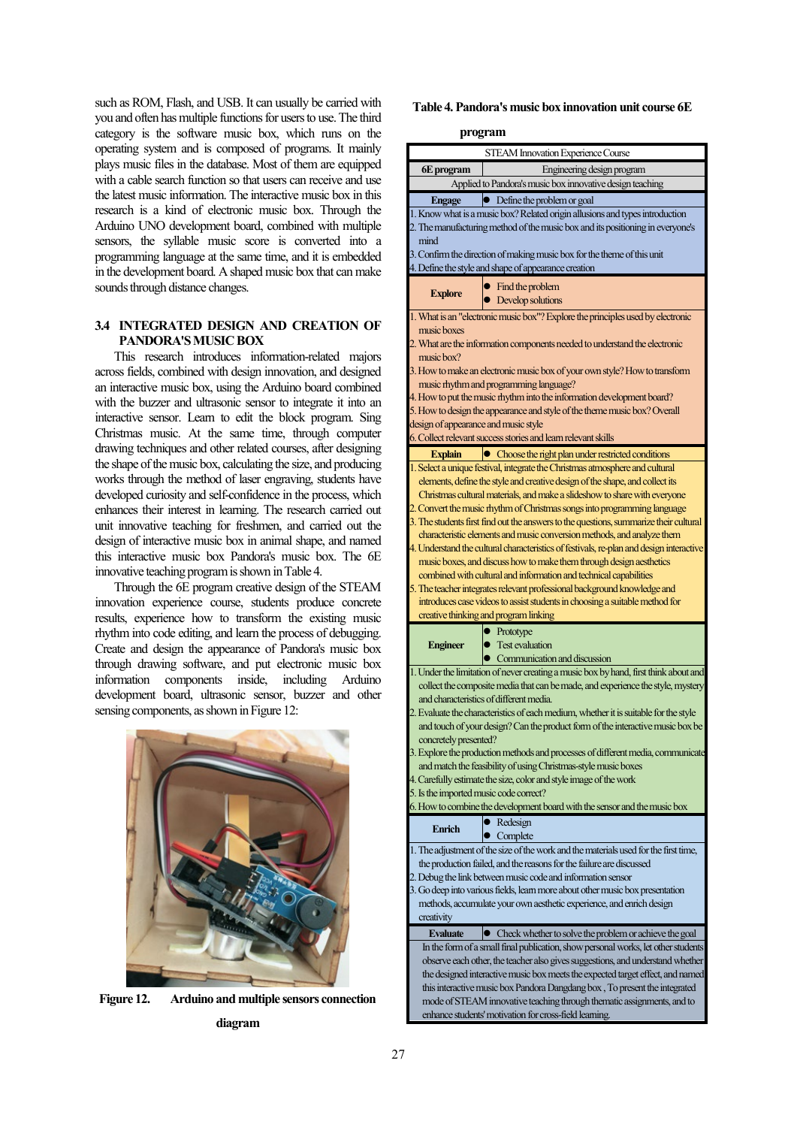such as ROM, Flash, and USB. It can usually be carried with you and often has multiple functions for users to use. The third category is the software music box, which runs on the operating system and is composed of programs. It mainly plays music files in the database. Most of them are equipped with a cable search function so that users can receive and use the latest music information. The interactive music box in this research is a kind of electronic music box. Through the Arduino UNO development board, combined with multiple sensors, the syllable music score is converted into a programming language at the same time, and it is embedded in the development board. A shaped music box that can make sounds through distance changes.

## **3.4 INTEGRATED DESIGN AND CREATION OF PANDORA'S MUSIC BOX**

This research introduces information-related majors across fields, combined with design innovation, and designed an interactive music box, using the Arduino board combined with the buzzer and ultrasonic sensor to integrate it into an interactive sensor. Learn to edit the block program. Sing Christmas music. At the same time, through computer drawing techniques and other related courses, after designing the shape of the music box, calculating the size, and producing works through the method of laser engraving, students have developed curiosity and self-confidence in the process, which enhances their interest in learning. The research carried out unit innovative teaching for freshmen, and carried out the design of interactive music box in animal shape, and named this interactive music box Pandora's music box. The 6E innovative teaching program is shown in Table 4.

Through the 6E program creative design of the STEAM innovation experience course, students produce concrete results, experience how to transform the existing music rhythm into code editing, and learn the process of debugging. Create and design the appearance of Pandora's music box through drawing software, and put electronic music box information components inside, including Arduino development board, ultrasonic sensor, buzzer and other sensing components, as shown in Figure 12:



**Figure 12. Arduino and multiple sensors connection diagram**

**Table 4. Pandora's music box innovation unit course 6E** 

**program**

|                                                                                                                                                                | STEAM Innovation Experience Course                                                                                                       |  |  |  |
|----------------------------------------------------------------------------------------------------------------------------------------------------------------|------------------------------------------------------------------------------------------------------------------------------------------|--|--|--|
| 6E program                                                                                                                                                     | Engineering design program<br>Applied to Pandora's music box innovative design teaching                                                  |  |  |  |
|                                                                                                                                                                |                                                                                                                                          |  |  |  |
| <b>Engage</b>                                                                                                                                                  | • Define the problem or goal                                                                                                             |  |  |  |
| 1. Know what is a music box? Related origin allusions and types introduction<br>2. The manufacturing method of the music box and its positioning in everyone's |                                                                                                                                          |  |  |  |
| mind                                                                                                                                                           |                                                                                                                                          |  |  |  |
| 3. Confirm the direction of making music box for the theme of this unit                                                                                        |                                                                                                                                          |  |  |  |
| 4. Define the style and shape of appearance creation                                                                                                           |                                                                                                                                          |  |  |  |
|                                                                                                                                                                | $\bullet$ Find the problem                                                                                                               |  |  |  |
| <b>Explore</b>                                                                                                                                                 | • Develop solutions                                                                                                                      |  |  |  |
|                                                                                                                                                                | 1. What is an "electronic music box"? Explore the principles used by electronic                                                          |  |  |  |
| music boxes                                                                                                                                                    |                                                                                                                                          |  |  |  |
| 2. What are the information components needed to understand the electronic                                                                                     |                                                                                                                                          |  |  |  |
| music box?                                                                                                                                                     |                                                                                                                                          |  |  |  |
| 3. How to make an electronic music box of your own style? How to transform                                                                                     |                                                                                                                                          |  |  |  |
| music rhythm and programming language?                                                                                                                         |                                                                                                                                          |  |  |  |
|                                                                                                                                                                | 4. How to put the music rhythm into the information development board?                                                                   |  |  |  |
| 5. How to design the appearance and style of the theme music box? Overall<br>design of appearance and music style                                              |                                                                                                                                          |  |  |  |
|                                                                                                                                                                | 6. Collect relevant success stories and learn relevant skills                                                                            |  |  |  |
| <b>Explain</b>                                                                                                                                                 | • Choose the right plan under restricted conditions                                                                                      |  |  |  |
|                                                                                                                                                                | 1. Select a unique festival, integrate the Christmas atmosphere and cultural                                                             |  |  |  |
|                                                                                                                                                                | elements, define the style and creative design of the shape, and collect its                                                             |  |  |  |
|                                                                                                                                                                | Christmas cultural materials, and make a slideshow to share with everyone                                                                |  |  |  |
|                                                                                                                                                                | 2. Convert the music rhythm of Christmas songs into programming language                                                                 |  |  |  |
|                                                                                                                                                                | 3. The students first find out the answers to the questions, summarize their cultural                                                    |  |  |  |
|                                                                                                                                                                | characteristic elements and music conversion methods, and analyze them                                                                   |  |  |  |
|                                                                                                                                                                | 4. Understand the cultural characteristics of festivals, re-plan and design interactive                                                  |  |  |  |
|                                                                                                                                                                | music boxes, and discuss how to make them through design aesthetics<br>combined with cultural and information and technical capabilities |  |  |  |
|                                                                                                                                                                | 5. The teacher integrates relevant professional background knowledge and                                                                 |  |  |  |
|                                                                                                                                                                | introduces case videos to assist students in choosing a suitable method for                                                              |  |  |  |
|                                                                                                                                                                | creative thinking and program linking                                                                                                    |  |  |  |
|                                                                                                                                                                | • Prototype                                                                                                                              |  |  |  |
| <b>Engineer</b>                                                                                                                                                | • Test evaluation                                                                                                                        |  |  |  |
|                                                                                                                                                                | Communication and discussion                                                                                                             |  |  |  |
|                                                                                                                                                                | 1. Under the limitation of never creating a music box by hand, first think about and                                                     |  |  |  |
|                                                                                                                                                                | collect the composite media that can be made, and experience the style, mystery                                                          |  |  |  |
| and characteristics of different media.                                                                                                                        |                                                                                                                                          |  |  |  |
|                                                                                                                                                                | 2. Evaluate the characteristics of each medium, whether it is suitable for the style                                                     |  |  |  |
| and touch of your design? Can the product form of the interactive music box be                                                                                 |                                                                                                                                          |  |  |  |
| concretely presented?<br>3. Explore the production methods and processes of different media, communicate                                                       |                                                                                                                                          |  |  |  |
| and match the feasibility of using Christmas-style music boxes                                                                                                 |                                                                                                                                          |  |  |  |
| 4. Carefully estimate the size, color and style image of the work                                                                                              |                                                                                                                                          |  |  |  |
| 5. Is the imported music code correct?                                                                                                                         |                                                                                                                                          |  |  |  |
|                                                                                                                                                                | 6. How to combine the development board with the sensor and the music box                                                                |  |  |  |
| <b>Enrich</b>                                                                                                                                                  | Redesign                                                                                                                                 |  |  |  |
|                                                                                                                                                                | Complete                                                                                                                                 |  |  |  |
|                                                                                                                                                                | 1. The adjustment of the size of the work and the materials used for the first time,                                                     |  |  |  |
|                                                                                                                                                                | the production failed, and the reasons for the failure are discussed                                                                     |  |  |  |
| 2. Debug the link between music code and information sensor<br>3. Go deep into various fields, learn more about other music box presentation                   |                                                                                                                                          |  |  |  |
| methods, accumulate your own aesthetic experience, and enrich design                                                                                           |                                                                                                                                          |  |  |  |
| creativity                                                                                                                                                     |                                                                                                                                          |  |  |  |
| <b>Evaluate</b>                                                                                                                                                | Check whether to solve the problem or achieve the goal                                                                                   |  |  |  |
|                                                                                                                                                                | In the form of a small final publication, show personal works, let other students                                                        |  |  |  |
| observe each other, the teacher also gives suggestions, and understand whether                                                                                 |                                                                                                                                          |  |  |  |
| the designed interactive music box meets the expected target effect, and named                                                                                 |                                                                                                                                          |  |  |  |
| this interactive music box Pandora Dangdang box, To present the integrated                                                                                     |                                                                                                                                          |  |  |  |
| mode of STEAM innovative teaching through thematic assignments, and to<br>enhance students' motivation for cross-field learning.                               |                                                                                                                                          |  |  |  |
|                                                                                                                                                                |                                                                                                                                          |  |  |  |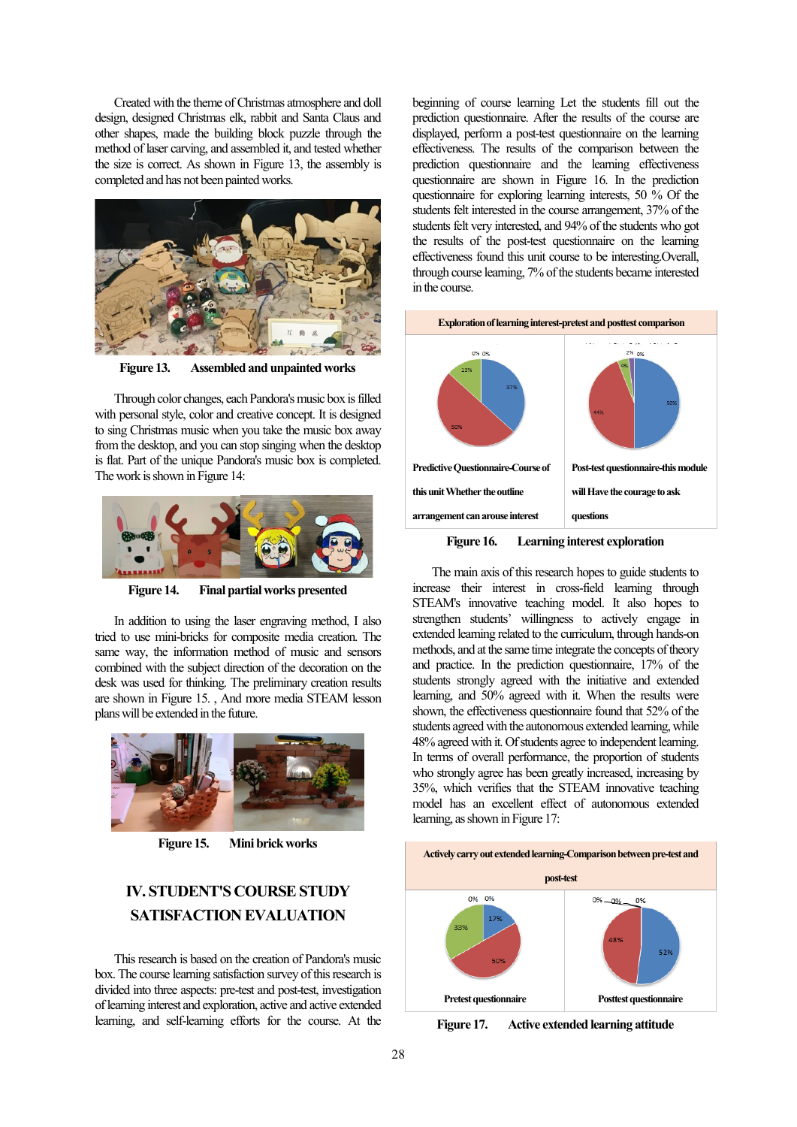Created with the theme of Christmas atmosphere and doll design, designed Christmas elk, rabbit and Santa Claus and other shapes, made the building block puzzle through the method of laser carving, and assembled it, and tested whether the size is correct. As shown in Figure 13, the assembly is completed and has not been painted works.



**Figure 13. Assembled and unpainted works**

Through color changes, each Pandora's music box is filled with personal style, color and creative concept. It is designed to sing Christmas music when you take the music box away from the desktop, and you can stop singing when the desktop is flat. Part of the unique Pandora's music box is completed. The work is shown in Figure 14:



**Figure 14. Final partial works presented**

In addition to using the laser engraving method, I also tried to use mini-bricks for composite media creation. The same way, the information method of music and sensors combined with the subject direction of the decoration on the desk was used for thinking. The preliminary creation results are shown in Figure 15. , And more media STEAM lesson plans will be extended in the future.



**Figure 15. Mini brick works**

# **IV. STUDENT'S COURSE STUDY SATISFACTION EVALUATION**

This research is based on the creation of Pandora's music box. The course learning satisfaction survey of this research is divided into three aspects: pre-test and post-test, investigation of learning interest and exploration, active and active extended learning, and self-learning efforts for the course. At the

beginning of course learning Let the students fill out the prediction questionnaire. After the results of the course are displayed, perform a post-test questionnaire on the learning effectiveness. The results of the comparison between the prediction questionnaire and the learning effectiveness questionnaire are shown in Figure 16. In the prediction questionnaire for exploring learning interests, 50 % Of the students felt interested in the course arrangement, 37% of the students felt very interested, and 94% of the students who got the results of the post-test questionnaire on the learning effectiveness found this unit course to be interesting.Overall, through course learning, 7% of the students became interested in the course.



**Figure 16. Learning interest exploration**

The main axis of this research hopes to guide students to increase their interest in cross-field learning through STEAM's innovative teaching model. It also hopes to strengthen students' willingness to actively engage in extended learning related to the curriculum, through hands-on methods, and at the same time integrate the concepts of theory and practice. In the prediction questionnaire, 17% of the students strongly agreed with the initiative and extended learning, and 50% agreed with it. When the results were shown, the effectiveness questionnaire found that 52% of the students agreed with the autonomous extended learning, while 48% agreed with it. Of students agree to independent learning. In terms of overall performance, the proportion of students who strongly agree has been greatly increased, increasing by 35%, which verifies that the STEAM innovative teaching model has an excellent effect of autonomous extended learning, as shown in Figure 17:



**Figure 17. Active extended learning attitude**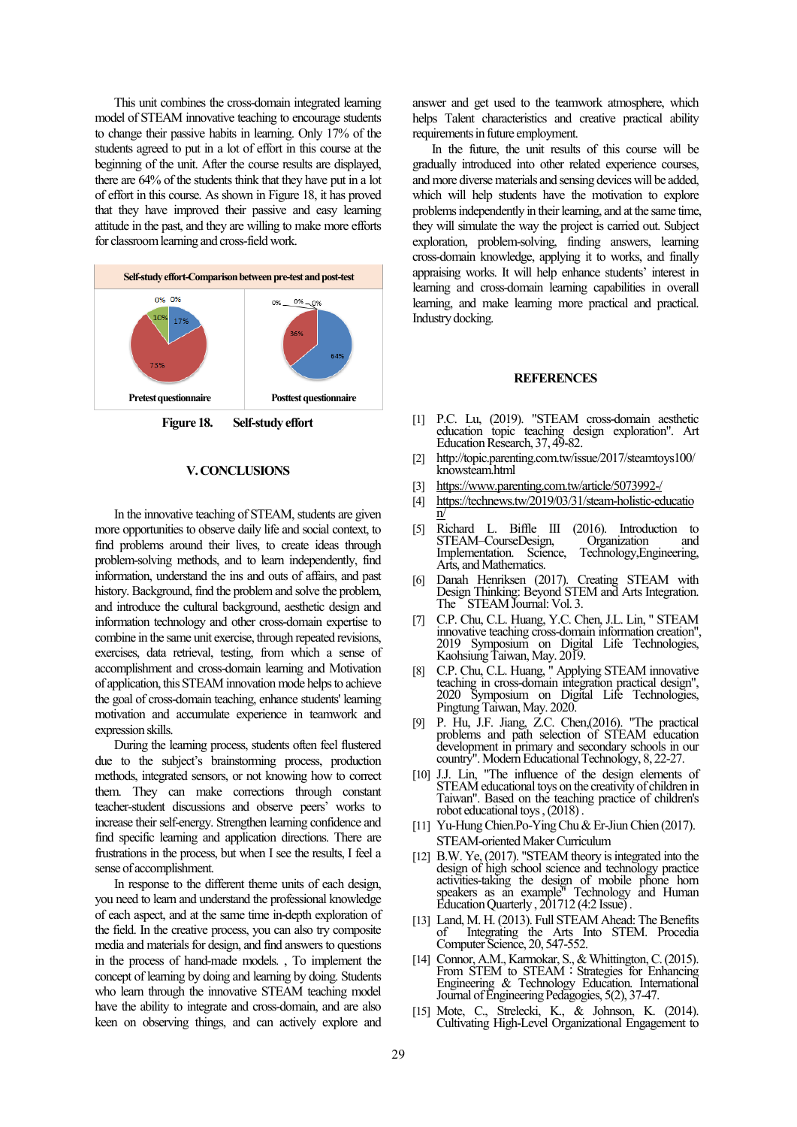This unit combines the cross-domain integrated learning model of STEAM innovative teaching to encourage students to change their passive habits in learning. Only 17% of the students agreed to put in a lot of effort in this course at the beginning of the unit. After the course results are displayed, there are 64% of the students think that they have put in a lot of effort in this course. As shown in Figure 18, it has proved that they have improved their passive and easy learning attitude in the past, and they are willing to make more efforts for classroom learning and cross-field work.



**Figure 18. Self-study effort**

#### **V. CONCLUSIONS**

In the innovative teaching of STEAM, students are given more opportunities to observe daily life and social context, to find problems around their lives, to create ideas through problem-solving methods, and to learn independently, find information, understand the ins and outs of affairs, and past history. Background, find the problem and solve the problem, and introduce the cultural background, aesthetic design and information technology and other cross-domain expertise to combine in the same unit exercise, through repeated revisions, exercises, data retrieval, testing, from which a sense of accomplishment and cross-domain learning and Motivation of application, this STEAM innovation mode helps to achieve the goal of cross-domain teaching, enhance students' learning motivation and accumulate experience in teamwork and expression skills.

During the learning process, students often feel flustered due to the subject's brainstorming process, production methods, integrated sensors, or not knowing how to correct them. They can make corrections through constant teacher-student discussions and observe peers' works to increase their self-energy. Strengthen learning confidence and find specific learning and application directions. There are frustrations in the process, but when I see the results, I feel a sense of accomplishment.

In response to the different theme units of each design, you need to learn and understand the professional knowledge of each aspect, and at the same time in-depth exploration of the field. In the creative process, you can also try composite media and materials for design, and find answers to questions in the process of hand-made models. , To implement the concept of learning by doing and learning by doing. Students who learn through the innovative STEAM teaching model have the ability to integrate and cross-domain, and are also keen on observing things, and can actively explore and answer and get used to the teamwork atmosphere, which helps Talent characteristics and creative practical ability requirements in future employment.

In the future, the unit results of this course will be gradually introduced into other related experience courses, and more diverse materials and sensing devices will be added, which will help students have the motivation to explore problems independently in their learning, and at the same time, they will simulate the way the project is carried out. Subject exploration, problem-solving, finding answers, learning cross-domain knowledge, applying it to works, and finally appraising works. It will help enhance students' interest in learning and cross-domain learning capabilities in overall learning, and make learning more practical and practical. Industry docking.

#### **REFERENCES**

- [1] P.C. Lu, (2019). "STEAM cross-domain aesthetic education topic teaching design exploration". Art Education Research, 37, 49-82.
- [2] http://topic.parenting.com.tw/issue/2017/steamtoys100/ knowsteam.html
- <https://www.parenting.com.tw/article/5073992-/>
- [4] [https://technews.tw/2019/03/31/steam-holistic-educatio](https://technews.tw/2019/03/31/steam-holistic-education/) [n/](https://technews.tw/2019/03/31/steam-holistic-education/)
- [5] Richard L. Biffle III (2016). Introduction to Implementation. Science, Technology,Engineering, Arts, and Mathematics.
- [6] Danah Henriksen (2017). Creating STEAM with Design Thinking: Beyond STEM and Arts Integration. The STEAM Journal: Vol. 3.
- [7] C.P. Chu, C.L. Huang, Y.C. Chen, J.L. Lin, " STEAM innovative teaching cross-domain information creation", 2019 Symposium on Digital Life Technologies, Kaohsiung Taiwan, May. 2019.
- [8] C.P. Chu, C.L. Huang, " Applying STEAM innovative teaching in cross-domain integration practical design", 2020 Symposium on Digital Life Technologies, Pingtung Taiwan, May. 2020.
- [9] P. Hu, J.F. Jiang, Z.C. Chen,(2016). "The practical problems and path selection of STEAM education development in primary and secondary schools in our country". Modern Educational Technology, 8, 22-27.
- [10] J.J. Lin, "The influence of the design elements of STEAM educational toys on the creativity of children in Taiwan". Based on the teaching practice of children's robot educational toys , (2018) .
- [11] Yu-Hung Chien.Po-Ying Chu & Er-Jiun Chien (2017). STEAM-oriented Maker Curriculum
- [12] B.W. Ye, (2017). "STEAM theory is integrated into the design of high school science and technology practice activities-taking the design of mobile phone horn speakers as an example" Technology and Human Education Quarterly , 201712 (4:2 Issue) .
- [13] Land, M. H. (2013). Full STEAM Ahead: The Benefits of Integrating the Arts Into STEM. Procedia Computer Science, 20, 547-552.
- [14] Connor, A.M., Karmokar, S., & Whittington, C. (2015). From STEM to STEAM: Strategies for Enhancing Engineering & Technology Education. International Journal of Engineering Pedagogies, 5(2), 37-47.
- [15] Mote, C., Strelecki, K., & Johnson, K. (2014). Cultivating High-Level Organizational Engagement to